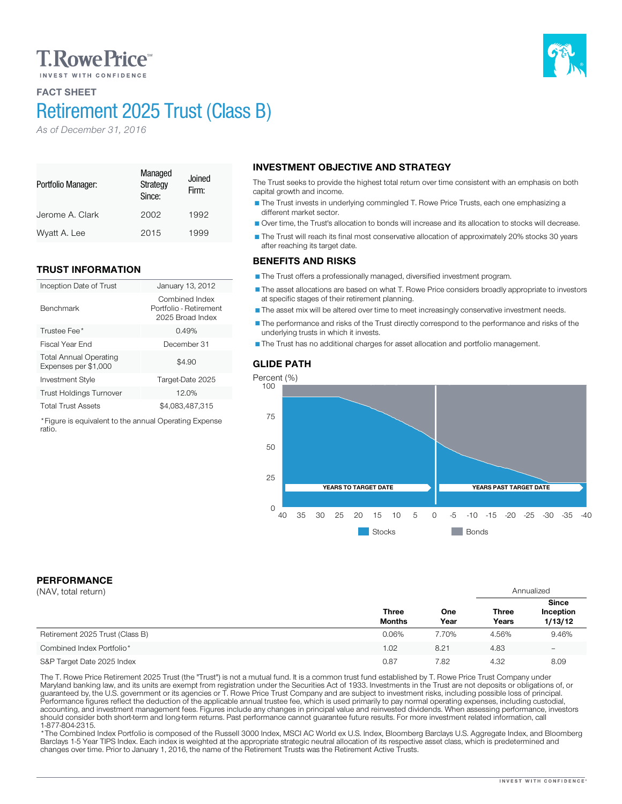## **T. Rowe Price**

## FACT SHEET

Portfolio Manager:

Benchmark

ratio.

# Retirement 2025 Trust (Class B)

Managed **Strategy** Since:

Jerome A. Clark 2002 1992 Wyatt A. Lee 2015 1999

Inception Date of Trust January 13, 2012

Investment Style Target-Date 2025 Trust Holdings Turnover 12.0% Total Trust Assets \$4,083,487,315 \*Figure is equivalent to the annual Operating Expense

Trustee Fee<sup>\*</sup> 0.49% Fiscal Year End December 31

Joined Firm:

Combined Index Portfolio - Retirement 2025 Broad Index

 $$4.90$ 

*As of December 31, 2016*

TRUST INFORMATION

Total Annual Operating Expenses per \$1,000

## INVESTMENT OBJECTIVE AND STRATEGY

The Trust seeks to provide the highest total return over time consistent with an emphasis on both capital growth and income.

The Trust invests in underlying commingled T. Rowe Price Trusts, each one emphasizing a different market sector.

Over time, the Trust's allocation to bonds will increase and its allocation to stocks will decrease.

The Trust will reach its final most conservative allocation of approximately 20% stocks 30 years after reaching its target date.

### BENEFITS AND RISKS

The Trust offers a professionally managed, diversified investment program.

The asset allocations are based on what T. Rowe Price considers broadly appropriate to investors at specific stages of their retirement planning.

The asset mix will be altered over time to meet increasingly conservative investment needs.

The performance and risks of the Trust directly correspond to the performance and risks of the underlying trusts in which it invests.

The Trust has no additional charges for asset allocation and portfolio management.

### GLIDE PATH



PERFORMANCE

| (NAV, total return)             |                               |             | Annualized            |                                      |
|---------------------------------|-------------------------------|-------------|-----------------------|--------------------------------------|
|                                 | <b>Three</b><br><b>Months</b> | One<br>Year | <b>Three</b><br>Years | <b>Since</b><br>Inception<br>1/13/12 |
| Retirement 2025 Trust (Class B) | 0.06%                         | 7.70%       | 4.56%                 | 9.46%                                |
| Combined Index Portfolio*       | 1.02                          | 8.21        | 4.83                  | -                                    |
| S&P Target Date 2025 Index      | 0.87                          | 7.82        | 4.32                  | 8.09                                 |

The T. Rowe Price Retirement 2025 Trust (the "Trust") is not a mutual fund. It is a common trust fund established by T. Rowe Price Trust Company under<br>Maryland banking law, and its units are exempt from registration under should consider both short-term and long-term returns. Past performance cannot guarantee future results. For more investment related information, call<br>1-877-804-2315.

\* The Combined Index Portfolio is composed of the Russell 3000 Index, MSCI AC World ex U.S. Index, Bloomberg Barclays U.S. Aggregate Index, and Bloomberg Barclays 1-5 Year TIPS Index. Each index is weighted at the appropriate strategic neutral allocation of its respective asset class, which is predetermined and changes over time. Prior to January 1, 2016, the name of the Retirement Trusts was the Retirement Active Trusts.

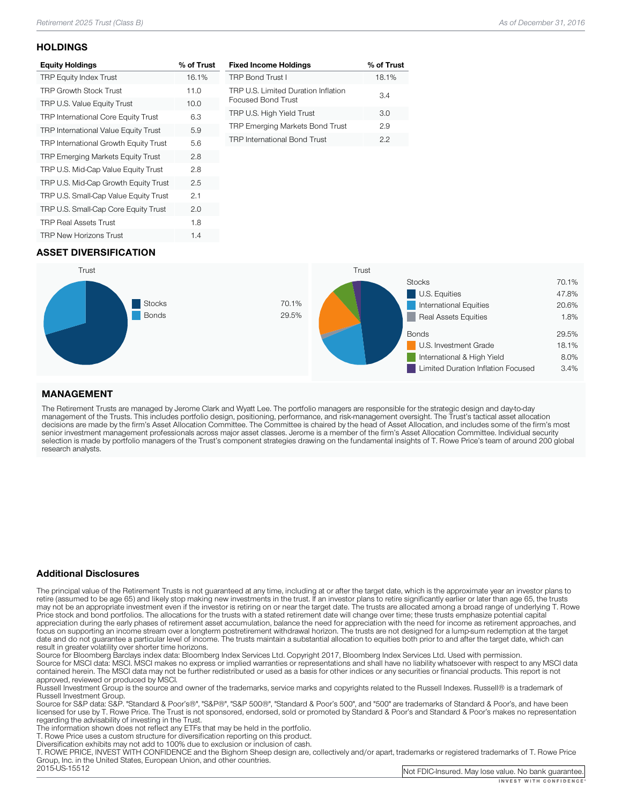#### **HOLDINGS**

| <b>Equity Holdings</b>                     | % of Trust |
|--------------------------------------------|------------|
| <b>TRP Equity Index Trust</b>              | 16.1%      |
| <b>TRP Growth Stock Trust</b>              | 11.0       |
| TRP U.S. Value Equity Trust                | 10.0       |
| <b>TRP International Core Equity Trust</b> | 6.3        |
| TRP International Value Equity Trust       | 5.9        |
| TRP International Growth Equity Trust      | 5.6        |
| <b>TRP Emerging Markets Equity Trust</b>   | 2.8        |
| TRP U.S. Mid-Cap Value Equity Trust        | 2.8        |
| TRP U.S. Mid-Cap Growth Equity Trust       | 2.5        |
| TRP U.S. Small-Cap Value Equity Trust      | 2.1        |
| TRP U.S. Small-Cap Core Equity Trust       | 2.0        |
| <b>TRP Real Assets Trust</b>               | 1.8        |
| <b>TRP New Horizons Trust</b>              | 1.4        |

| <b>Fixed Income Holdings</b>                              | % of Trust |
|-----------------------------------------------------------|------------|
| <b>TRP Bond Trust I</b>                                   | 18.1%      |
| TRP U.S. Limited Duration Inflation<br>Focused Bond Trust | 3.4        |
| TRP U.S. High Yield Trust                                 | 3.O        |
| <b>TRP Emerging Markets Bond Trust</b>                    | 29         |
| <b>TRP International Bond Trust</b>                       | クク         |

## ASSET DIVERSIFICATION



### MANAGEMENT

The Retirement Trusts are managed by Jerome Clark and Wyatt Lee. The portfolio managers are responsible for the strategic design and day-to-day<br>management of the Trusts. This includes portfolio design, positioning, perform research analysts.

#### Additional Disclosures

The principal value of the Retirement Trusts is not guaranteed at any time, including at or after the target date, which is the approximate year an investor plans to retire (assumed to be age 65) and likely stop making new may not be an appropriate investment even if the investor is retiring on or near the target date. The trusts are allocated among a broad range of underlying T. Rowe<br>Price stock and bond portfolios. The allocations for the focus on supporting an income stream over a longterm postretirement withdrawal horizon. The trusts are not designed for a lump-sum redemption at the target date and do not guarantee a particular level of income. The trusts maintain a substantial allocation to equities both prior to and after the target date, which can result in greater volatility over shorter time horizons.

Source for Bloomberg Barclays index data: Bloomberg Index Services Ltd. Copyright 2017, Bloomberg Index Services Ltd. Used with permission.<br>Source for MSCI data: MSCI. MSCI makes no express or implied warranties or represe

approved, reviewed or produced by MSCI.<br>Russell Investment Group is the source and owner of the trademarks, service marks and copyrights related to the Russell Indexes. Russell® is a trademark of<br>Russell Investment Group.

Russell Investment Group. Source Group and Group", "Same Source for Source for Source for Standard & Boorge and Supers, and have been licensed for use by T. Rowe Price. The Trust is not sponsored, endorsed, sold or promoted by Standard & Poor's and Standard & Poor's makes no representation<br>regarding the advisability of investing in the Trust.

The information shown does not reflect any ETFs that may be held in the portfolio.<br>T. Rowe Price uses a custom structure for diversification reporting on this product.<br>Diversification exhibits may not add to 100% due to ex